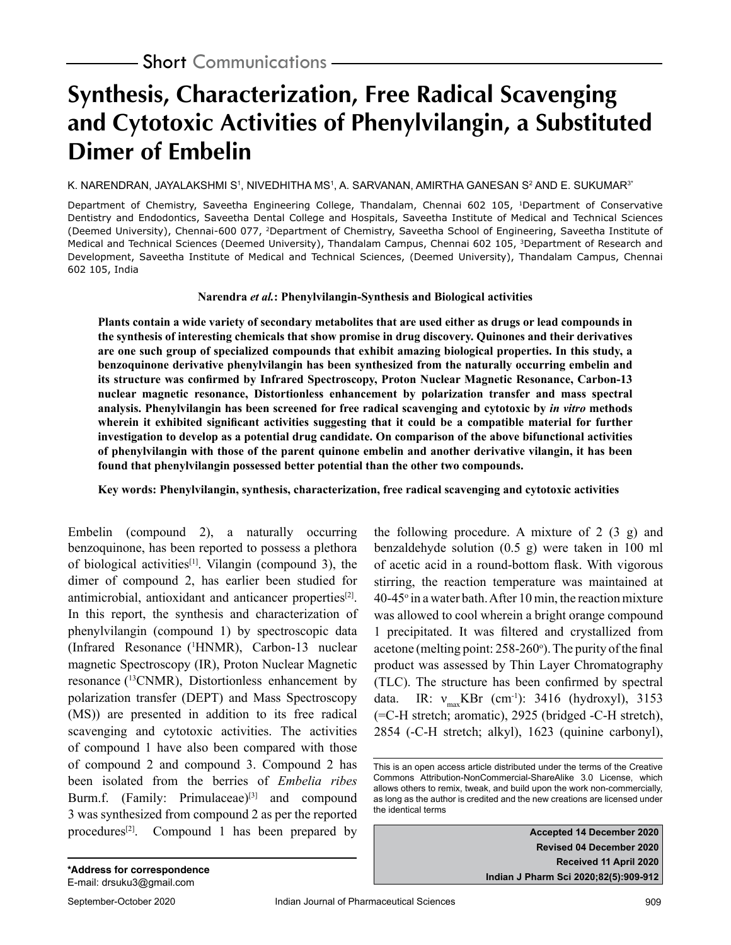# **Synthesis, Characterization, Free Radical Scavenging and Cytotoxic Activities of Phenylvilangin, a Substituted Dimer of Embelin**

#### K. NARENDRAN, JAYALAKSHMI Sʻ, NIVEDHITHA MSʻ, A. SARVANAN, AMIRTHA GANESAN S<del>'</del> AND E. SUKUMAR<sup>3</sup>'

Department of Chemistry, Saveetha Engineering College, Thandalam, Chennai 602 105, 1Department of Conservative Dentistry and Endodontics, Saveetha Dental College and Hospitals, Saveetha Institute of Medical and Technical Sciences (Deemed University), Chennai-600 077, 2Department of Chemistry, Saveetha School of Engineering, Saveetha Institute of Medical and Technical Sciences (Deemed University), Thandalam Campus, Chennai 602 105, <sup>3</sup>Department of Research and Development, Saveetha Institute of Medical and Technical Sciences, (Deemed University), Thandalam Campus, Chennai 602 105, India

**Narendra** *et al.***: Phenylvilangin-Synthesis and Biological activities**

**Plants contain a wide variety of secondary metabolites that are used either as drugs or lead compounds in the synthesis of interesting chemicals that show promise in drug discovery. Quinones and their derivatives are one such group of specialized compounds that exhibit amazing biological properties. In this study, a benzoquinone derivative phenylvilangin has been synthesized from the naturally occurring embelin and its structure was confirmed by Infrared Spectroscopy, Proton Nuclear Magnetic Resonance, Carbon-13 nuclear magnetic resonance, Distortionless enhancement by polarization transfer and mass spectral analysis. Phenylvilangin has been screened for free radical scavenging and cytotoxic by** *in vitro* **methods wherein it exhibited significant activities suggesting that it could be a compatible material for further investigation to develop as a potential drug candidate. On comparison of the above bifunctional activities of phenylvilangin with those of the parent quinone embelin and another derivative vilangin, it has been found that phenylvilangin possessed better potential than the other two compounds.**

**Key words: Phenylvilangin, synthesis, characterization, free radical scavenging and cytotoxic activities**

Embelin (compound 2), a naturally occurring benzoquinone, has been reported to possess a plethora of biological activities<sup>[1]</sup>. Vilangin (compound 3), the dimer of compound 2, has earlier been studied for antimicrobial, antioxidant and anticancer properties<sup>[2]</sup>. In this report, the synthesis and characterization of phenylvilangin (compound 1) by spectroscopic data (Infrared Resonance (1 HNMR), Carbon-13 nuclear magnetic Spectroscopy (IR), Proton Nuclear Magnetic resonance (13CNMR), Distortionless enhancement by polarization transfer (DEPT) and Mass Spectroscopy (MS)) are presented in addition to its free radical scavenging and cytotoxic activities. The activities of compound 1 have also been compared with those of compound 2 and compound 3. Compound 2 has been isolated from the berries of *Embelia ribes* Burm.f. (Family: Primulaceae) $[3]$  and compound 3 was synthesized from compound 2 as per the reported procedures<sup>[2]</sup>. Compound 1 has been prepared by

the following procedure. A mixture of  $2(3g)$  and benzaldehyde solution (0.5 g) were taken in 100 ml of acetic acid in a round-bottom flask. With vigorous stirring, the reaction temperature was maintained at 40-45° in a water bath. After 10 min, the reaction mixture was allowed to cool wherein a bright orange compound 1 precipitated. It was filtered and crystallized from acetone (melting point: 258-260°). The purity of the final product was assessed by Thin Layer Chromatography (TLC). The structure has been confirmed by spectral data. IR:  $v_{\text{max}}$ KBr (cm<sup>-1</sup>): 3416 (hydroxyl), 3153 (=C-H stretch; aromatic), 2925 (bridged -C-H stretch), 2854 (-C-H stretch; alkyl), 1623 (quinine carbonyl),

**Accepted 14 December 2020 Revised 04 December 2020 Received 11 April 2020 Indian J Pharm Sci 2020;82(5):909-912**

This is an open access article distributed under the terms of the Creative Commons Attribution-NonCommercial-ShareAlike 3.0 License, which allows others to remix, tweak, and build upon the work non-commercially, as long as the author is credited and the new creations are licensed under the identical terms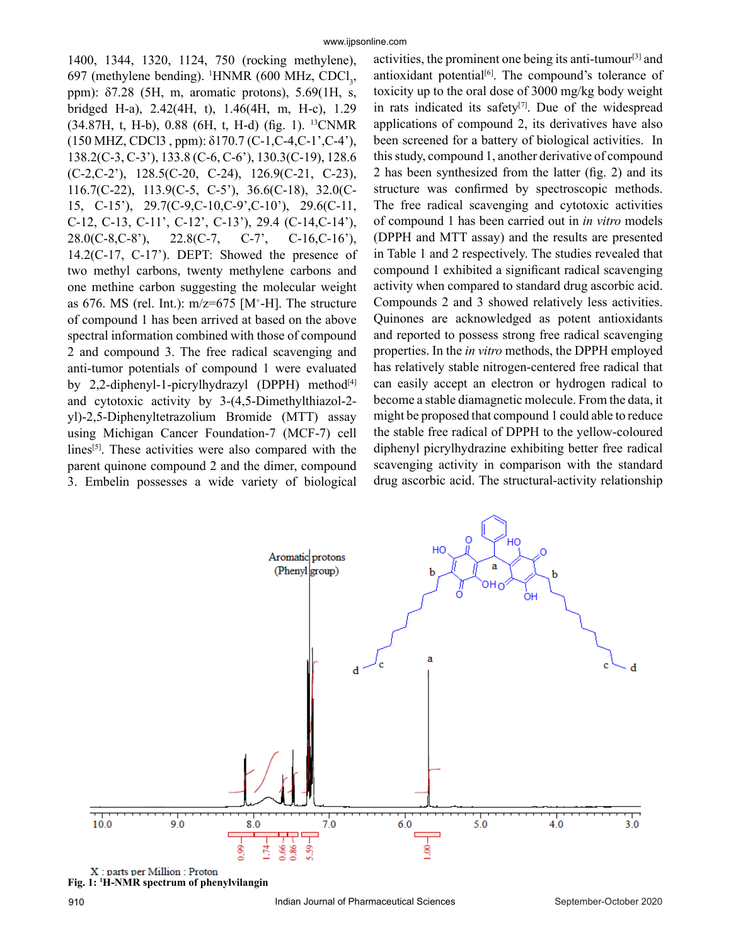1400, 1344, 1320, 1124, 750 (rocking methylene), 697 (methylene bending). <sup>1</sup>HNMR (600 MHz, CDCl<sub>3</sub>, ppm): δ7.28 (5H, m, aromatic protons), 5.69(1H, s, bridged H-a), 2.42(4H, t), 1.46(4H, m, H-c), 1.29 (34.87H, t, H-b), 0.88 (6H, t, H-d) (fig. 1). 13CNMR (150 MHZ, CDCl3 , ppm): δ170.7 (C-1,C-4,C-1',C-4'), 138.2(C-3, C-3'), 133.8 (C-6, C-6'), 130.3(C-19), 128.6 (C-2,C-2'), 128.5(C-20, C-24), 126.9(C-21, C-23), 116.7(C-22), 113.9(C-5, C-5'), 36.6(C-18), 32.0(C-15, C-15'), 29.7(C-9,C-10,C-9',C-10'), 29.6(C-11, C-12, C-13, C-11', C-12', C-13'), 29.4 (C-14,C-14'), 28.0(C-8,C-8'), 22.8(C-7, C-7', C-16,C-16'), 14.2(C-17, C-17'). DEPT: Showed the presence of two methyl carbons, twenty methylene carbons and one methine carbon suggesting the molecular weight as 676. MS (rel. Int.):  $m/z=675$  [M<sup>+</sup>-H]. The structure of compound 1 has been arrived at based on the above spectral information combined with those of compound 2 and compound 3. The free radical scavenging and anti-tumor potentials of compound 1 were evaluated by 2,2-diphenyl-1-picrylhydrazyl (DPPH) method<sup>[4]</sup> and cytotoxic activity by 3-(4,5-Dimethylthiazol-2 yl)-2,5-Diphenyltetrazolium Bromide (MTT) assay using Michigan Cancer Foundation-7 (MCF-7) cell lines<sup>[5]</sup>. These activities were also compared with the parent quinone compound 2 and the dimer, compound 3. Embelin possesses a wide variety of biological

activities, the prominent one being its anti-tumour[3] and antioxidant potential<sup>[6]</sup>. The compound's tolerance of toxicity up to the oral dose of 3000 mg/kg body weight in rats indicated its safety $[7]$ . Due of the widespread applications of compound 2, its derivatives have also been screened for a battery of biological activities. In this study, compound 1, another derivative of compound 2 has been synthesized from the latter (fig. 2) and its structure was confirmed by spectroscopic methods. The free radical scavenging and cytotoxic activities of compound 1 has been carried out in *in vitro* models (DPPH and MTT assay) and the results are presented in Table 1 and 2 respectively. The studies revealed that compound 1 exhibited a significant radical scavenging activity when compared to standard drug ascorbic acid. Compounds 2 and 3 showed relatively less activities. Quinones are acknowledged as potent antioxidants and reported to possess strong free radical scavenging properties. In the *in vitro* methods, the DPPH employed has relatively stable nitrogen-centered free radical that can easily accept an electron or hydrogen radical to become a stable diamagnetic molecule. From the data, it might be proposed that compound 1 could able to reduce the stable free radical of DPPH to the yellow-coloured diphenyl picrylhydrazine exhibiting better free radical scavenging activity in comparison with the standard drug ascorbic acid. The structural-activity relationship



**Fig. 1: 1 H-NMR spectrum of phenylvilangin**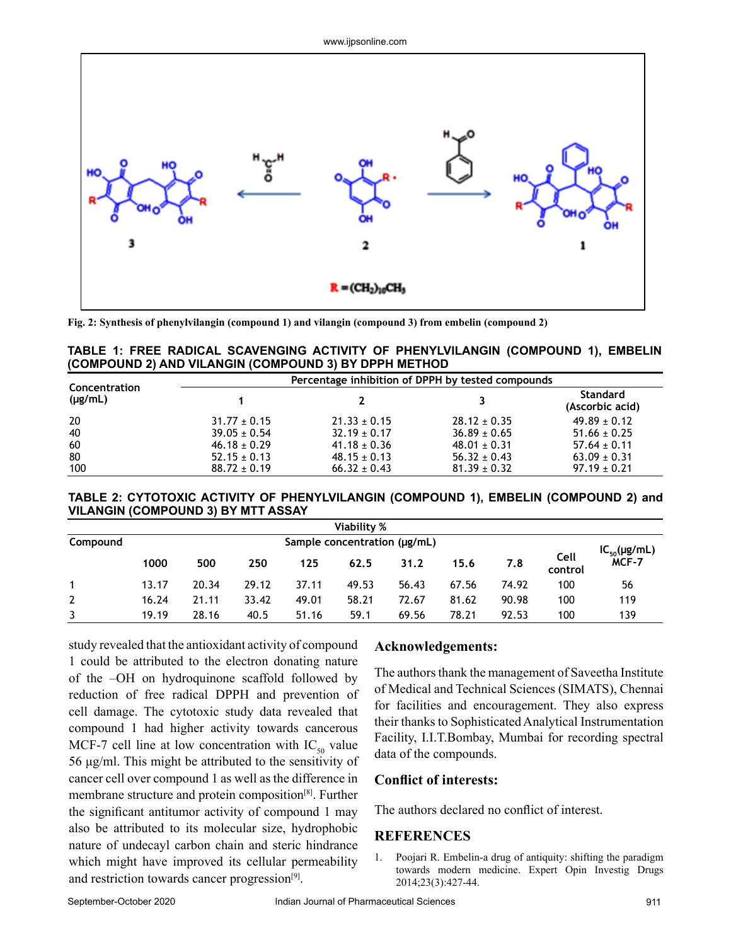

**Fig. 2: Synthesis of phenylvilangin (compound 1) and vilangin (compound 3) from embelin (compound 2)**

|                                                       | TABLE 1: FREE RADICAL SCAVENGING ACTIVITY OF PHENYLVILANGIN (COMPOUND 1), EMBELIN |
|-------------------------------------------------------|-----------------------------------------------------------------------------------|
| (COMPOUND 2) AND VILANGIN (COMPOUND 3) BY DPPH METHOD |                                                                                   |

| Concentration<br>$(\mu g/mL)$ | Percentage inhibition of DPPH by tested compounds |                  |                  |                                    |  |  |
|-------------------------------|---------------------------------------------------|------------------|------------------|------------------------------------|--|--|
|                               |                                                   |                  |                  | <b>Standard</b><br>(Ascorbic acid) |  |  |
| 20                            | $31.77 \pm 0.15$                                  | $21.33 \pm 0.15$ | $28.12 \pm 0.35$ | $49.89 \pm 0.12$                   |  |  |
| 40                            | $39.05 \pm 0.54$                                  | $32.19 \pm 0.17$ | $36.89 \pm 0.65$ | $51.66 \pm 0.25$                   |  |  |
| 60                            | $46.18 \pm 0.29$                                  | $41.18 \pm 0.36$ | $48.01 \pm 0.31$ | $57.64 \pm 0.11$                   |  |  |
| 80                            | $52.15 \pm 0.13$                                  | $48.15 \pm 0.13$ | $56.32 \pm 0.43$ | $63.09 \pm 0.31$                   |  |  |
| 100                           | $88.72 \pm 0.19$                                  | $66.32 \pm 0.43$ | $81.39 \pm 0.32$ | $97.19 \pm 0.21$                   |  |  |

**TABLE 2: CYTOTOXIC ACTIVITY OF PHENYLVILANGIN (COMPOUND 1), EMBELIN (COMPOUND 2) and VILANGIN (COMPOUND 3) BY MTT ASSAY**

| Viability % |                              |       |       |       |       |       |       |                     |                 |       |
|-------------|------------------------------|-------|-------|-------|-------|-------|-------|---------------------|-----------------|-------|
| Compound    | Sample concentration (µg/mL) |       |       |       |       |       |       | $IC_{50}(\mu g/mL)$ |                 |       |
|             | 1000                         | 500   | 250   | 125   | 62.5  | 31.2  | 15.6  | 7.8                 | Cell<br>control | MCF-7 |
| 1           | 13.17                        | 20.34 | 29.12 | 37.11 | 49.53 | 56.43 | 67.56 | 74.92               | 100             | 56    |
|             | 16.24                        | 21.11 | 33.42 | 49.01 | 58.21 | 72.67 | 81.62 | 90.98               | 100             | 119   |
| 3           | 19.19                        | 28.16 | 40.5  | 51.16 | 59.1  | 69.56 | 78.21 | 92.53               | 100             | 139   |

study revealed that the antioxidant activity of compound 1 could be attributed to the electron donating nature of the –OH on hydroquinone scaffold followed by reduction of free radical DPPH and prevention of cell damage. The cytotoxic study data revealed that compound 1 had higher activity towards cancerous MCF-7 cell line at low concentration with  $IC_{50}$  value 56 μg/ml. This might be attributed to the sensitivity of cancer cell over compound 1 as well as the difference in membrane structure and protein composition[8]. Further the significant antitumor activity of compound 1 may also be attributed to its molecular size, hydrophobic nature of undecayl carbon chain and steric hindrance which might have improved its cellular permeability and restriction towards cancer progression<sup>[9]</sup>.

## **Acknowledgements:**

The authors thank the management of Saveetha Institute of Medical and Technical Sciences (SIMATS), Chennai for facilities and encouragement. They also express their thanks to Sophisticated Analytical Instrumentation Facility, I.I.T.Bombay, Mumbai for recording spectral data of the compounds.

#### **Conflict of interests:**

The authors declared no conflict of interest.

## **REFERENCES**

1. Poojari R. Embelin-a drug of antiquity: shifting the paradigm towards modern medicine. Expert Opin Investig Drugs 2014;23(3):427-44.